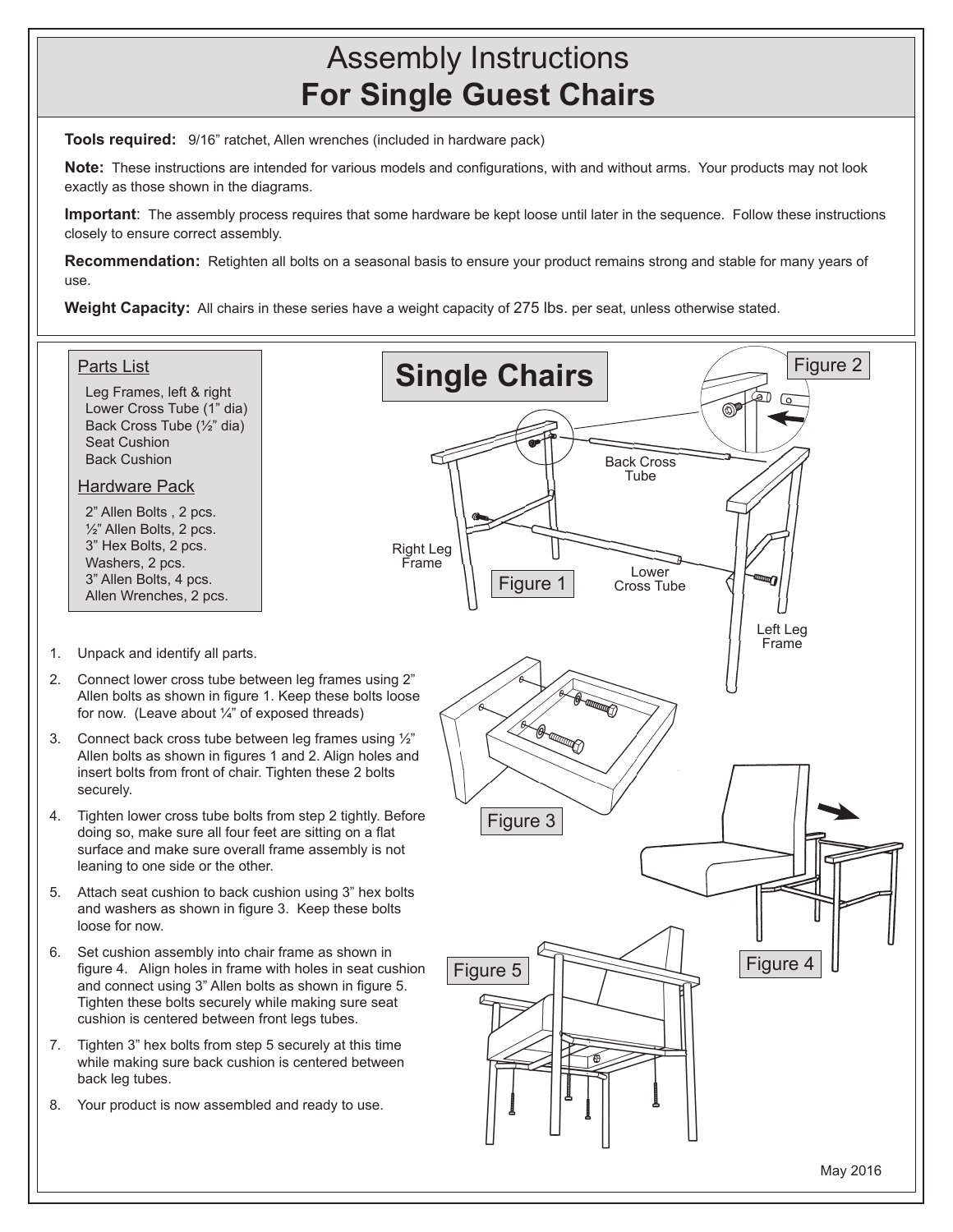## Assembly Instructions **For Single Guest Chairs**

**Tools required:** 9/16" ratchet, Allen wrenches (included in hardware pack)

**Note:** These instructions are intended for various models and configurations, with and without arms. Your products may not look exactly as those shown in the diagrams.

**Important**: The assembly process requires that some hardware be kept loose until later in the sequence. Follow these instructions closely to ensure correct assembly.

**Recommendation:** Retighten all bolts on a seasonal basis to ensure your product remains strong and stable for many years of use.

**Weight Capacity:** All chairs in these series have a weight capacity of 275 lbs. per seat, unless otherwise stated.